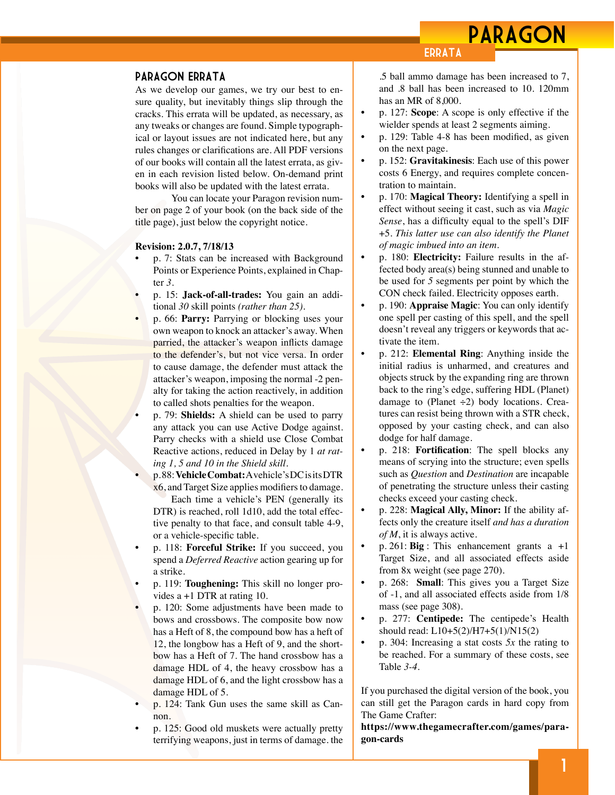## PARAGON

## Paragon Errata

As we develop our games, we try our best to ensure quality, but inevitably things slip through the cracks. This errata will be updated, as necessary, as any tweaks or changes are found. Simple typographical or layout issues are not indicated here, but any rules changes or clarifications are. All PDF versions of our books will contain all the latest errata, as given in each revision listed below. On-demand print books will also be updated with the latest errata.

You can locate your Paragon revision number on page 2 of your book (on the back side of the title page), just below the copyright notice.

## **Revision: 2.0.7, 7/18/13**

- p. 7: Stats can be increased with Background Points or Experience Points, explained in Chapter *3.*
- p. 15: **Jack-of-all-trades:** You gain an additional *30* skill points *(rather than 25)*.
- p. 66: **Parry:** Parrying or blocking uses your own weapon to knock an attacker's away. When parried, the attacker's weapon inflicts damage to the defender's, but not vice versa. In order to cause damage, the defender must attack the attacker's weapon, imposing the normal -2 penalty for taking the action reactively, in addition to called shots penalties for the weapon.

• p. 79: **Shields:** A shield can be used to parry any attack you can use Active Dodge against. Parry checks with a shield use Close Combat Reactive actions, reduced in Delay by 1 *at rating 1, 5 and 10 in the Shield skill.*

• p. 88: **Vehicle Combat:** A vehicle's DC is its DTR x6, and Target Size applies modifiers to damage.

Each time a vehicle's PEN (generally its DTR) is reached, roll 1d10, add the total effective penalty to that face, and consult table 4-9, or a vehicle-specific table.

- p. 118: **Forceful Strike:** If you succeed, you spend a *Deferred Reactive* action gearing up for a strike.
- p. 119: **Toughening:** This skill no longer provides a +1 DTR at rating 10.
- p. 120: Some adjustments have been made to bows and crossbows. The composite bow now has a Heft of 8, the compound bow has a heft of 12, the longbow has a Heft of 9, and the shortbow has a Heft of 7. The hand crossbow has a damage HDL of 4, the heavy crossbow has a damage HDL of 6, and the light crossbow has a damage HDL of 5.
- p. 124: Tank Gun uses the same skill as Cannon.
- p. 125: Good old muskets were actually pretty terrifying weapons, just in terms of damage. the

.5 ball ammo damage has been increased to 7, and .8 ball has been increased to 10. 120mm has an MR of 8,000.

• p. 127: **Scope**: A scope is only effective if the wielder spends at least 2 segments aiming.

**ERRATA** 

- p. 129: Table 4-8 has been modified, as given on the next page.
- p. 152: **Gravitakinesis**: Each use of this power costs 6 Energy, and requires complete concentration to maintain.
- p. 170: **Magical Theory:** Identifying a spell in effect without seeing it cast, such as via *Magic Sense*, has a difficulty equal to the spell's DIF +5. *This latter use can also identify the Planet of magic imbued into an item.*
- p. 180: **Electricity:** Failure results in the affected body area(s) being stunned and unable to be used for *5* segments per point by which the CON check failed. Electricity opposes earth.
- p. 190: **Appraise Magic**: You can only identify one spell per casting of this spell, and the spell doesn't reveal any triggers or keywords that activate the item.
- p. 212: **Elemental Ring**: Anything inside the initial radius is unharmed, and creatures and objects struck by the expanding ring are thrown back to the ring's edge, suffering HDL (Planet) damage to (Planet  $\div 2$ ) body locations. Creatures can resist being thrown with a STR check, opposed by your casting check, and can also dodge for half damage.
- p. 218: **Fortification**: The spell blocks any means of scrying into the structure; even spells such as *Question* and *Destination* are incapable of penetrating the structure unless their casting checks exceed your casting check.
- p. 228: **Magical Ally, Minor:** If the ability affects only the creature itself *and has a duration of M*, it is always active.
- p. 261: **Big** : This enhancement grants a +1 Target Size, and all associated effects aside from 8x weight (see page 270).
- p. 268: **Small**: This gives you a Target Size of -1, and all associated effects aside from 1/8 mass (see page 308).
- p. 277: **Centipede:** The centipede's Health should read: L10+5(2)/H7+5(1)/N15(2)
- p. 304: Increasing a stat costs *5x* the rating to be reached. For a summary of these costs, see Table *3-4*.

If you purchased the digital version of the book, you can still get the Paragon cards in hard copy from The Game Crafter:

**[https://www.thegamecrafter.com/games/para](https://www.thegamecrafter.com/games/paragon-cards)[gon-cards](https://www.thegamecrafter.com/games/paragon-cards)**